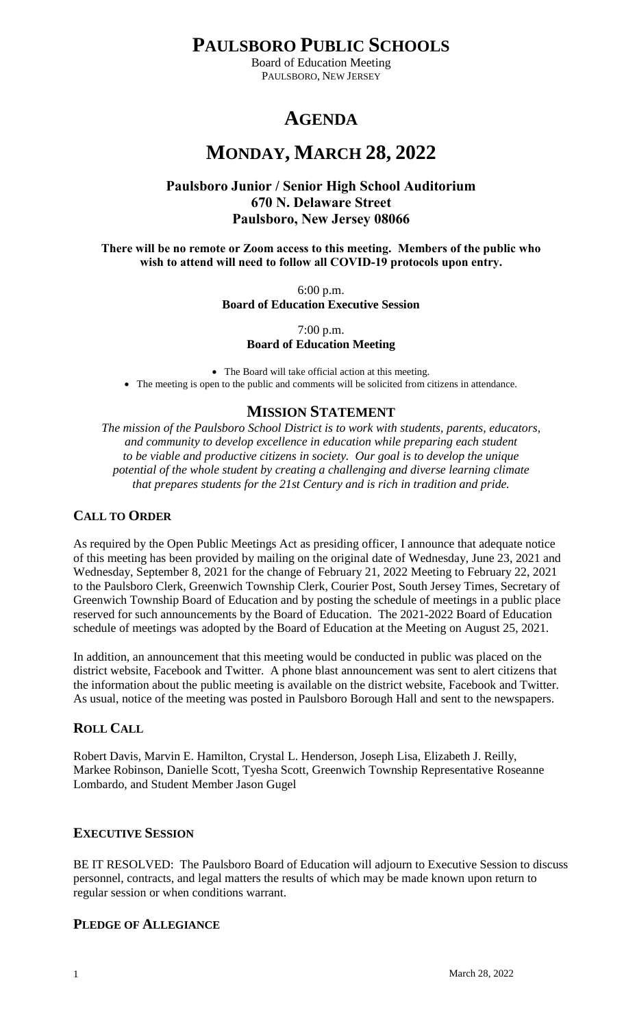# **PAULSBORO PUBLIC SCHOOLS**

Board of Education Meeting PAULSBORO, NEW JERSEY

# **AGENDA**

# **MONDAY, MARCH 28, 2022**

# **Paulsboro Junior / Senior High School Auditorium 670 N. Delaware Street Paulsboro, New Jersey 08066**

**There will be no remote or Zoom access to this meeting. Members of the public who wish to attend will need to follow all COVID-19 protocols upon entry.**

> 6:00 p.m. **Board of Education Executive Session**

> > 7:00 p.m. **Board of Education Meeting**

The Board will take official action at this meeting.

The meeting is open to the public and comments will be solicited from citizens in attendance.

# **MISSION STATEMENT**

*The mission of the Paulsboro School District is to work with students, parents, educators, and community to develop excellence in education while preparing each student to be viable and productive citizens in society. Our goal is to develop the unique potential of the whole student by creating a challenging and diverse learning climate that prepares students for the 21st Century and is rich in tradition and pride.*

### **CALL TO ORDER**

As required by the Open Public Meetings Act as presiding officer, I announce that adequate notice of this meeting has been provided by mailing on the original date of Wednesday, June 23, 2021 and Wednesday, September 8, 2021 for the change of February 21, 2022 Meeting to February 22, 2021 to the Paulsboro Clerk, Greenwich Township Clerk, Courier Post, South Jersey Times, Secretary of Greenwich Township Board of Education and by posting the schedule of meetings in a public place reserved for such announcements by the Board of Education. The 2021-2022 Board of Education schedule of meetings was adopted by the Board of Education at the Meeting on August 25, 2021.

In addition, an announcement that this meeting would be conducted in public was placed on the district website, Facebook and Twitter. A phone blast announcement was sent to alert citizens that the information about the public meeting is available on the district website, Facebook and Twitter. As usual, notice of the meeting was posted in Paulsboro Borough Hall and sent to the newspapers.

# **ROLL CALL**

Robert Davis, Marvin E. Hamilton, Crystal L. Henderson, Joseph Lisa, Elizabeth J. Reilly, Markee Robinson, Danielle Scott, Tyesha Scott, Greenwich Township Representative Roseanne Lombardo, and Student Member Jason Gugel

# **EXECUTIVE SESSION**

BE IT RESOLVED: The Paulsboro Board of Education will adjourn to Executive Session to discuss personnel, contracts, and legal matters the results of which may be made known upon return to regular session or when conditions warrant.

### **PLEDGE OF ALLEGIANCE**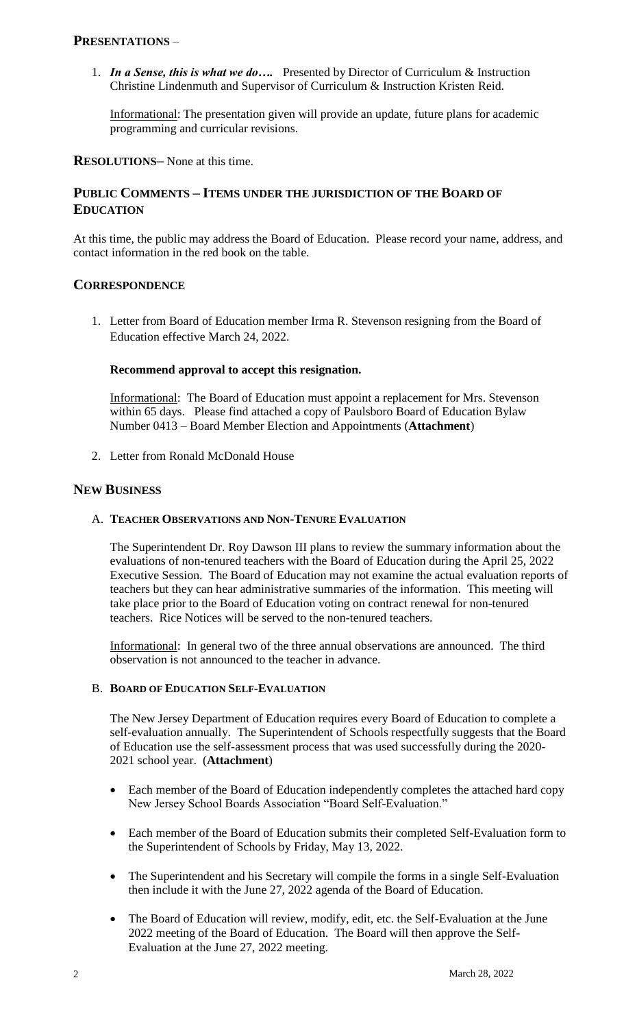1. *In a Sense, this is what we do….* Presented by Director of Curriculum & Instruction Christine Lindenmuth and Supervisor of Curriculum & Instruction Kristen Reid.

Informational: The presentation given will provide an update, future plans for academic programming and curricular revisions.

**RESOLUTIONS–** None at this time.

### **PUBLIC COMMENTS – ITEMS UNDER THE JURISDICTION OF THE BOARD OF EDUCATION**

At this time, the public may address the Board of Education. Please record your name, address, and contact information in the red book on the table.

#### **CORRESPONDENCE**

1. Letter from Board of Education member Irma R. Stevenson resigning from the Board of Education effective March 24, 2022.

#### **Recommend approval to accept this resignation.**

Informational: The Board of Education must appoint a replacement for Mrs. Stevenson within 65 days. Please find attached a copy of Paulsboro Board of Education Bylaw Number 0413 – Board Member Election and Appointments (**Attachment**)

2. Letter from Ronald McDonald House

### **NEW BUSINESS**

#### A. **TEACHER OBSERVATIONS AND NON-TENURE EVALUATION**

The Superintendent Dr. Roy Dawson III plans to review the summary information about the evaluations of non-tenured teachers with the Board of Education during the April 25, 2022 Executive Session. The Board of Education may not examine the actual evaluation reports of teachers but they can hear administrative summaries of the information. This meeting will take place prior to the Board of Education voting on contract renewal for non-tenured teachers. Rice Notices will be served to the non-tenured teachers.

Informational: In general two of the three annual observations are announced. The third observation is not announced to the teacher in advance.

#### B. **BOARD OF EDUCATION SELF-EVALUATION**

The New Jersey Department of Education requires every Board of Education to complete a self-evaluation annually. The Superintendent of Schools respectfully suggests that the Board of Education use the self-assessment process that was used successfully during the 2020- 2021 school year. (**Attachment**)

- Each member of the Board of Education independently completes the attached hard copy New Jersey School Boards Association "Board Self-Evaluation."
- Each member of the Board of Education submits their completed Self-Evaluation form to the Superintendent of Schools by Friday, May 13, 2022.
- The Superintendent and his Secretary will compile the forms in a single Self-Evaluation then include it with the June 27, 2022 agenda of the Board of Education.
- The Board of Education will review, modify, edit, etc. the Self-Evaluation at the June 2022 meeting of the Board of Education. The Board will then approve the Self-Evaluation at the June 27, 2022 meeting.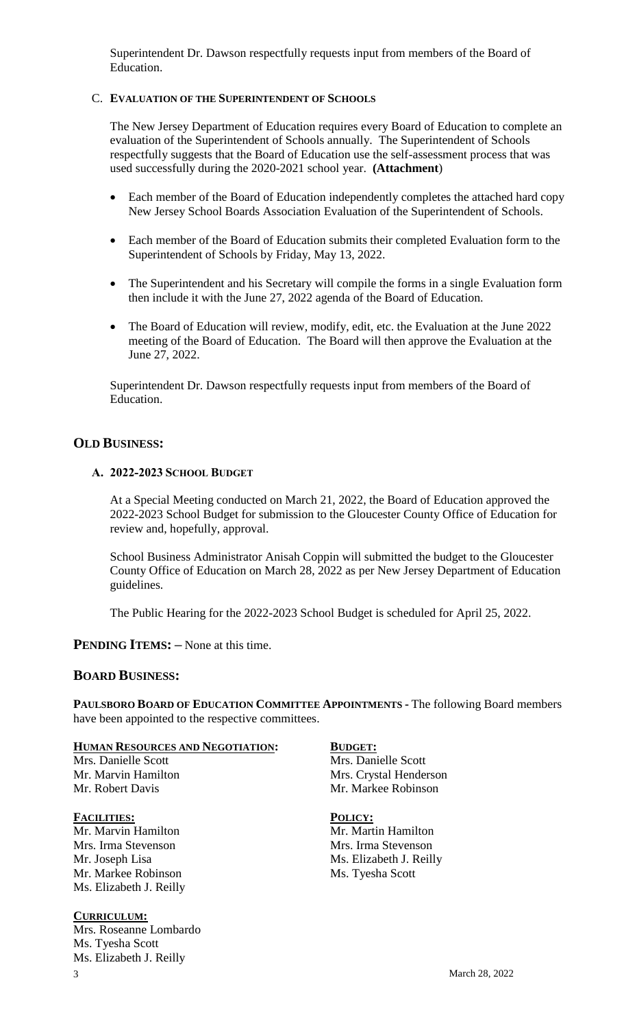Superintendent Dr. Dawson respectfully requests input from members of the Board of Education.

#### C. **EVALUATION OF THE SUPERINTENDENT OF SCHOOLS**

The New Jersey Department of Education requires every Board of Education to complete an evaluation of the Superintendent of Schools annually. The Superintendent of Schools respectfully suggests that the Board of Education use the self-assessment process that was used successfully during the 2020-2021 school year. **(Attachment**)

- Each member of the Board of Education independently completes the attached hard copy New Jersey School Boards Association Evaluation of the Superintendent of Schools.
- Each member of the Board of Education submits their completed Evaluation form to the Superintendent of Schools by Friday, May 13, 2022.
- The Superintendent and his Secretary will compile the forms in a single Evaluation form then include it with the June 27, 2022 agenda of the Board of Education.
- The Board of Education will review, modify, edit, etc. the Evaluation at the June 2022 meeting of the Board of Education. The Board will then approve the Evaluation at the June 27, 2022.

Superintendent Dr. Dawson respectfully requests input from members of the Board of Education.

#### **OLD BUSINESS:**

#### **A. 2022-2023 SCHOOL BUDGET**

At a Special Meeting conducted on March 21, 2022, the Board of Education approved the 2022-2023 School Budget for submission to the Gloucester County Office of Education for review and, hopefully, approval.

School Business Administrator Anisah Coppin will submitted the budget to the Gloucester County Office of Education on March 28, 2022 as per New Jersey Department of Education guidelines.

The Public Hearing for the 2022-2023 School Budget is scheduled for April 25, 2022.

**PENDING ITEMS: –** None at this time.

#### **BOARD BUSINESS:**

**PAULSBORO BOARD OF EDUCATION COMMITTEE APPOINTMENTS -** The following Board members have been appointed to the respective committees.

#### **HUMAN RESOURCES AND NEGOTIATION: BUDGET:**

Mrs. Danielle Scott Mrs. Danielle Scott Mr. Robert Davis Mr. Markee Robinson

**FACILITIES: POLICY:** Mr. Marvin Hamilton Mr. Martin Hamilton Mrs. Irma Stevenson Mrs. Irma Stevenson Mr. Joseph Lisa Ms. Elizabeth J. Reilly Mr. Markee Robinson Ms. Tyesha Scott Ms. Elizabeth J. Reilly

**CURRICULUM:** Mrs. Roseanne Lombardo Ms. Tyesha Scott Ms. Elizabeth J. Reilly

Mr. Marvin Hamilton Mrs. Crystal Henderson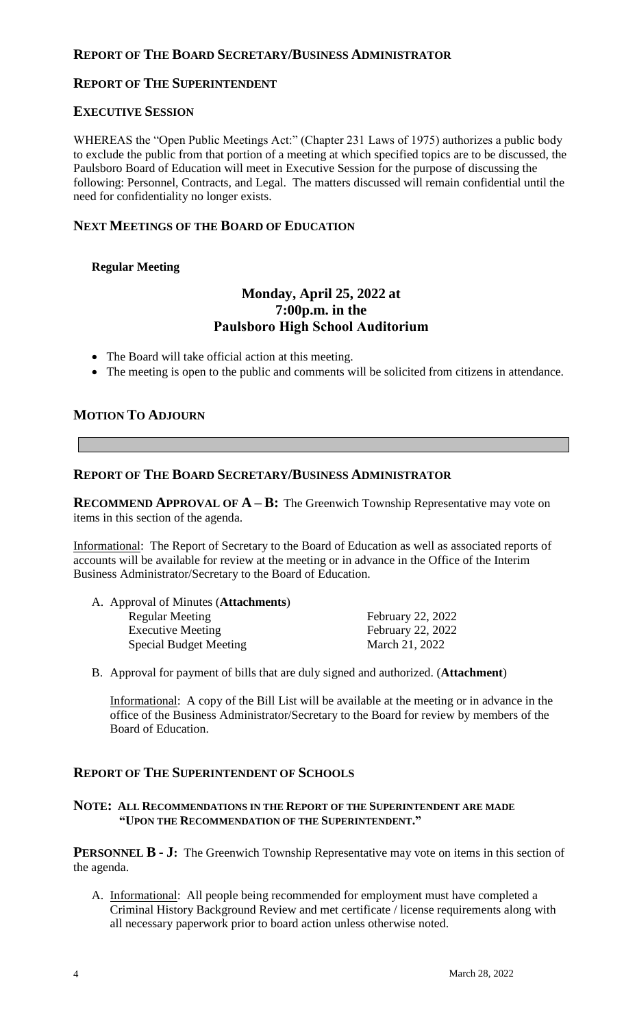# **REPORT OF THE BOARD SECRETARY/BUSINESS ADMINISTRATOR**

## **REPORT OF THE SUPERINTENDENT**

#### **EXECUTIVE SESSION**

WHEREAS the "Open Public Meetings Act:" (Chapter 231 Laws of 1975) authorizes a public body to exclude the public from that portion of a meeting at which specified topics are to be discussed, the Paulsboro Board of Education will meet in Executive Session for the purpose of discussing the following: Personnel, Contracts, and Legal. The matters discussed will remain confidential until the need for confidentiality no longer exists.

#### **NEXT MEETINGS OF THE BOARD OF EDUCATION**

#### **Regular Meeting**

# **Monday, April 25, 2022 at 7:00p.m. in the Paulsboro High School Auditorium**

- The Board will take official action at this meeting.
- The meeting is open to the public and comments will be solicited from citizens in attendance.

#### **MOTION TO ADJOURN**

#### **REPORT OF THE BOARD SECRETARY/BUSINESS ADMINISTRATOR**

**RECOMMEND APPROVAL OF A – B:** The Greenwich Township Representative may vote on items in this section of the agenda.

Informational: The Report of Secretary to the Board of Education as well as associated reports of accounts will be available for review at the meeting or in advance in the Office of the Interim Business Administrator/Secretary to the Board of Education.

| A. Approval of Minutes ( <b>Attachments</b> ) |                   |
|-----------------------------------------------|-------------------|
| <b>Regular Meeting</b>                        | February 22, 2022 |
| <b>Executive Meeting</b>                      | February 22, 2022 |
| <b>Special Budget Meeting</b>                 | March 21, 2022    |

B. Approval for payment of bills that are duly signed and authorized. (**Attachment**)

Informational: A copy of the Bill List will be available at the meeting or in advance in the office of the Business Administrator/Secretary to the Board for review by members of the Board of Education.

### **REPORT OF THE SUPERINTENDENT OF SCHOOLS**

#### **NOTE: ALL RECOMMENDATIONS IN THE REPORT OF THE SUPERINTENDENT ARE MADE "UPON THE RECOMMENDATION OF THE SUPERINTENDENT."**

**PERSONNEL B - <b>J**: The Greenwich Township Representative may vote on items in this section of the agenda.

A. Informational: All people being recommended for employment must have completed a Criminal History Background Review and met certificate / license requirements along with all necessary paperwork prior to board action unless otherwise noted.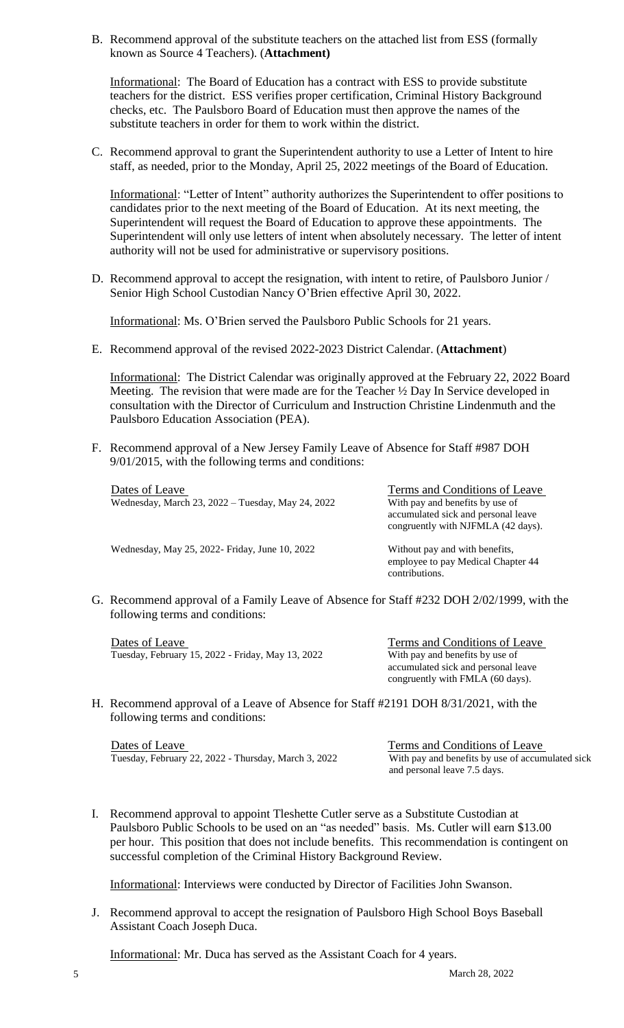B. Recommend approval of the substitute teachers on the attached list from ESS (formally known as Source 4 Teachers). (**Attachment)**

Informational: The Board of Education has a contract with ESS to provide substitute teachers for the district. ESS verifies proper certification, Criminal History Background checks, etc. The Paulsboro Board of Education must then approve the names of the substitute teachers in order for them to work within the district.

C. Recommend approval to grant the Superintendent authority to use a Letter of Intent to hire staff, as needed, prior to the Monday, April 25, 2022 meetings of the Board of Education.

Informational: "Letter of Intent" authority authorizes the Superintendent to offer positions to candidates prior to the next meeting of the Board of Education. At its next meeting, the Superintendent will request the Board of Education to approve these appointments. The Superintendent will only use letters of intent when absolutely necessary. The letter of intent authority will not be used for administrative or supervisory positions.

D. Recommend approval to accept the resignation, with intent to retire, of Paulsboro Junior / Senior High School Custodian Nancy O'Brien effective April 30, 2022.

Informational: Ms. O'Brien served the Paulsboro Public Schools for 21 years.

E. Recommend approval of the revised 2022-2023 District Calendar. (**Attachment**)

Informational: The District Calendar was originally approved at the February 22, 2022 Board Meeting. The revision that were made are for the Teacher  $\frac{1}{2}$  Day In Service developed in consultation with the Director of Curriculum and Instruction Christine Lindenmuth and the Paulsboro Education Association (PEA).

F. Recommend approval of a New Jersey Family Leave of Absence for Staff #987 DOH 9/01/2015, with the following terms and conditions:

| Dates of Leave                                    | Terms and Conditions of Leave                                                                                |
|---------------------------------------------------|--------------------------------------------------------------------------------------------------------------|
| Wednesday, March 23, 2022 – Tuesday, May 24, 2022 | With pay and benefits by use of<br>accumulated sick and personal leave<br>congruently with NJFMLA (42 days). |
| Wednesday, May 25, 2022- Friday, June 10, 2022    | Without pay and with benefits,<br>employee to pay Medical Chapter 44<br>contributions.                       |

G. Recommend approval of a Family Leave of Absence for Staff #232 DOH 2/02/1999, with the following terms and conditions:

Dates of Leave Terms and Conditions of Leave Tuesday, February 15, 2022 - Friday, May 13, 2022 With pay and benefits by use of

accumulated sick and personal leave congruently with FMLA (60 days).

H. Recommend approval of a Leave of Absence for Staff #2191 DOH 8/31/2021, with the following terms and conditions:

Dates of Leave<br>Tuesday, February 22, 2022 - Thursday, March 3, 2022<br>With pay and benefits by use of accumulated sick Tuesday, February 22, 2022 - Thursday, March 3, 2022

and personal leave 7.5 days.

I. Recommend approval to appoint Tleshette Cutler serve as a Substitute Custodian at Paulsboro Public Schools to be used on an "as needed" basis. Ms. Cutler will earn \$13.00 per hour. This position that does not include benefits. This recommendation is contingent on successful completion of the Criminal History Background Review.

Informational: Interviews were conducted by Director of Facilities John Swanson.

J. Recommend approval to accept the resignation of Paulsboro High School Boys Baseball Assistant Coach Joseph Duca.

Informational: Mr. Duca has served as the Assistant Coach for 4 years.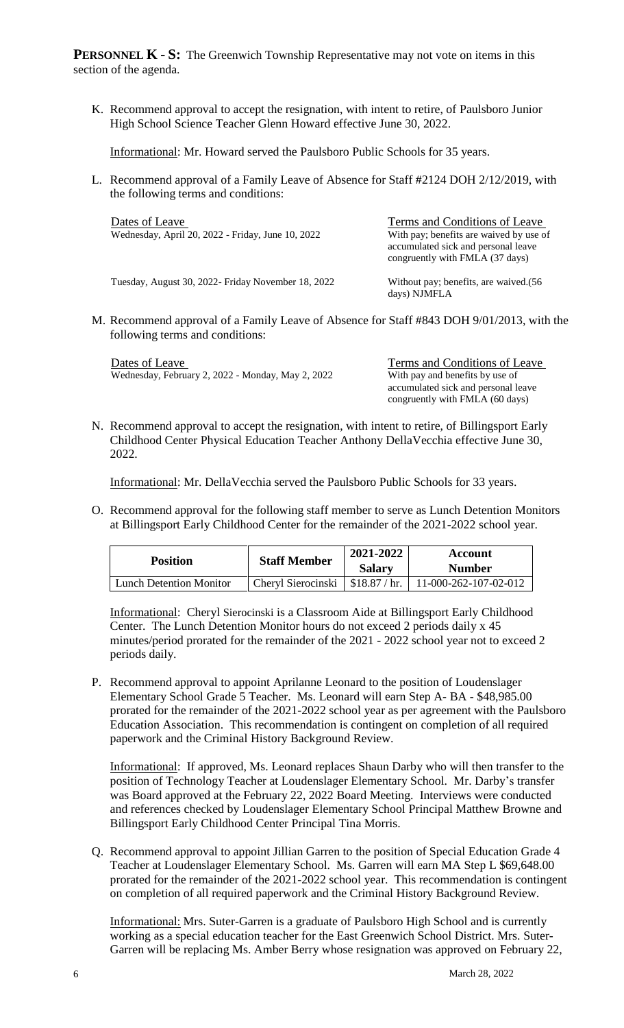**PERSONNEL K - S:** The Greenwich Township Representative may not vote on items in this section of the agenda.

K. Recommend approval to accept the resignation, with intent to retire, of Paulsboro Junior High School Science Teacher Glenn Howard effective June 30, 2022.

Informational: Mr. Howard served the Paulsboro Public Schools for 35 years.

L. Recommend approval of a Family Leave of Absence for Staff #2124 DOH 2/12/2019, with the following terms and conditions:

| Dates of Leave<br>Wednesday, April 20, 2022 - Friday, June 10, 2022 | Terms and Conditions of Leave<br>With pay; benefits are waived by use of<br>accumulated sick and personal leave<br>congruently with FMLA (37 days) |
|---------------------------------------------------------------------|----------------------------------------------------------------------------------------------------------------------------------------------------|
| Tuesday, August 30, 2022- Friday November 18, 2022                  | Without pay; benefits, are waived. (56<br>days) NJMFLA                                                                                             |

M. Recommend approval of a Family Leave of Absence for Staff #843 DOH 9/01/2013, with the following terms and conditions:

Dates of Leave<br>Wednesday, February 2, 2022 - Monday, May 2, 2022<br>With pay and benefits by use of Wednesday, February 2, 2022 - Monday, May 2, 2022

accumulated sick and personal leave congruently with FMLA (60 days)

N. Recommend approval to accept the resignation, with intent to retire, of Billingsport Early Childhood Center Physical Education Teacher Anthony DellaVecchia effective June 30, 2022.

Informational: Mr. DellaVecchia served the Paulsboro Public Schools for 33 years.

O. Recommend approval for the following staff member to serve as Lunch Detention Monitors at Billingsport Early Childhood Center for the remainder of the 2021-2022 school year.

| <b>Position</b>                | <b>Staff Member</b> | 2021-2022<br><b>Salary</b> | Account<br><b>Number</b> |
|--------------------------------|---------------------|----------------------------|--------------------------|
| <b>Lunch Detention Monitor</b> | Cheryl Sierocinski  | \$18.87/hr.                | 11-000-262-107-02-012    |

Informational: Cheryl Sierocinski is a Classroom Aide at Billingsport Early Childhood Center. The Lunch Detention Monitor hours do not exceed 2 periods daily x 45 minutes/period prorated for the remainder of the 2021 - 2022 school year not to exceed 2 periods daily.

P. Recommend approval to appoint Aprilanne Leonard to the position of Loudenslager Elementary School Grade 5 Teacher. Ms. Leonard will earn Step A- BA - \$48,985.00 prorated for the remainder of the 2021-2022 school year as per agreement with the Paulsboro Education Association. This recommendation is contingent on completion of all required paperwork and the Criminal History Background Review.

Informational: If approved, Ms. Leonard replaces Shaun Darby who will then transfer to the position of Technology Teacher at Loudenslager Elementary School. Mr. Darby's transfer was Board approved at the February 22, 2022 Board Meeting. Interviews were conducted and references checked by Loudenslager Elementary School Principal Matthew Browne and Billingsport Early Childhood Center Principal Tina Morris.

Q. Recommend approval to appoint Jillian Garren to the position of Special Education Grade 4 Teacher at Loudenslager Elementary School. Ms. Garren will earn MA Step L \$69,648.00 prorated for the remainder of the 2021-2022 school year. This recommendation is contingent on completion of all required paperwork and the Criminal History Background Review.

Informational: Mrs. Suter-Garren is a graduate of Paulsboro High School and is currently working as a special education teacher for the East Greenwich School District. Mrs. Suter-Garren will be replacing Ms. Amber Berry whose resignation was approved on February 22,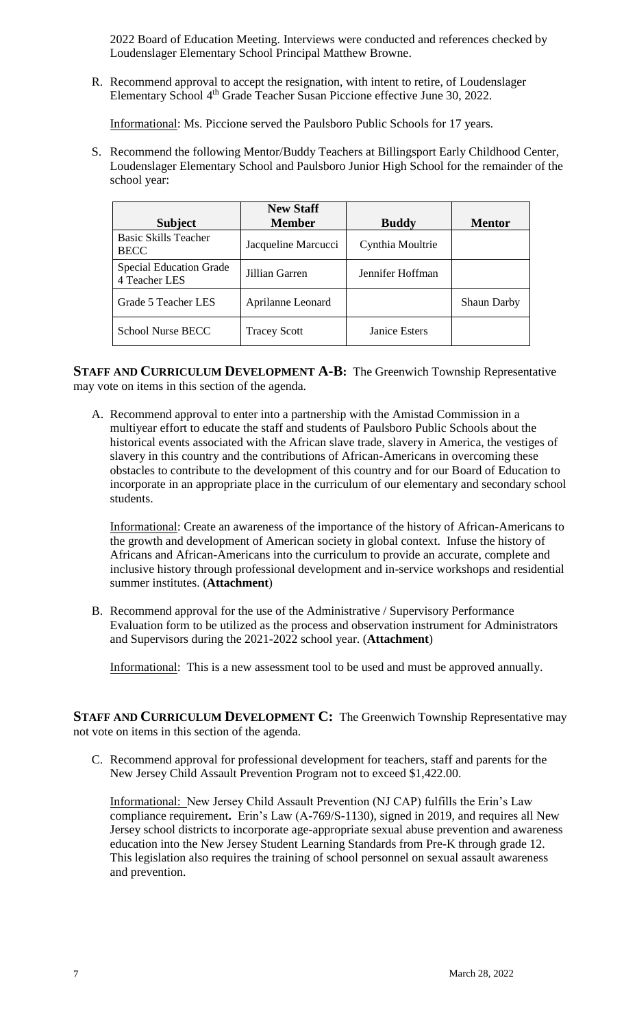2022 Board of Education Meeting. Interviews were conducted and references checked by Loudenslager Elementary School Principal Matthew Browne.

R. Recommend approval to accept the resignation, with intent to retire, of Loudenslager Elementary School 4<sup>th</sup> Grade Teacher Susan Piccione effective June 30, 2022.

Informational: Ms. Piccione served the Paulsboro Public Schools for 17 years.

S. Recommend the following Mentor/Buddy Teachers at Billingsport Early Childhood Center, Loudenslager Elementary School and Paulsboro Junior High School for the remainder of the school year:

|                                                 | <b>New Staff</b>    |                      |                    |
|-------------------------------------------------|---------------------|----------------------|--------------------|
| <b>Subject</b>                                  | <b>Member</b>       | <b>Buddy</b>         | <b>Mentor</b>      |
| <b>Basic Skills Teacher</b><br><b>BECC</b>      | Jacqueline Marcucci | Cynthia Moultrie     |                    |
| <b>Special Education Grade</b><br>4 Teacher LES | Jillian Garren      | Jennifer Hoffman     |                    |
| Grade 5 Teacher LES                             | Aprilanne Leonard   |                      | <b>Shaun Darby</b> |
| <b>School Nurse BECC</b>                        | <b>Tracey Scott</b> | <b>Janice Esters</b> |                    |

**STAFF AND CURRICULUM DEVELOPMENT A-B:** The Greenwich Township Representative may vote on items in this section of the agenda.

A. Recommend approval to enter into a partnership with the Amistad Commission in a multiyear effort to educate the staff and students of Paulsboro Public Schools about the historical events associated with the African slave trade, slavery in America, the vestiges of slavery in this country and the contributions of African-Americans in overcoming these obstacles to contribute to the development of this country and for our Board of Education to incorporate in an appropriate place in the curriculum of our elementary and secondary school students.

Informational: Create an awareness of the importance of the history of African-Americans to the growth and development of American society in global context. Infuse the history of Africans and African-Americans into the curriculum to provide an accurate, complete and inclusive history through professional development and in-service workshops and residential summer institutes. (**Attachment**)

B. Recommend approval for the use of the Administrative / Supervisory Performance Evaluation form to be utilized as the process and observation instrument for Administrators and Supervisors during the 2021-2022 school year. (**Attachment**)

Informational: This is a new assessment tool to be used and must be approved annually.

**STAFF AND CURRICULUM DEVELOPMENT C:** The Greenwich Township Representative may not vote on items in this section of the agenda.

C. Recommend approval for professional development for teachers, staff and parents for the New Jersey Child Assault Prevention Program not to exceed \$1,422.00.

Informational: New Jersey Child Assault Prevention (NJ CAP) fulfills the Erin's Law compliance requirement**.** Erin's Law (A-769/S-1130), signed in 2019, and requires all New Jersey school districts to incorporate age-appropriate sexual abuse prevention and awareness education into the New Jersey Student Learning Standards from Pre-K through grade 12. This legislation also requires the training of school personnel on sexual assault awareness and prevention.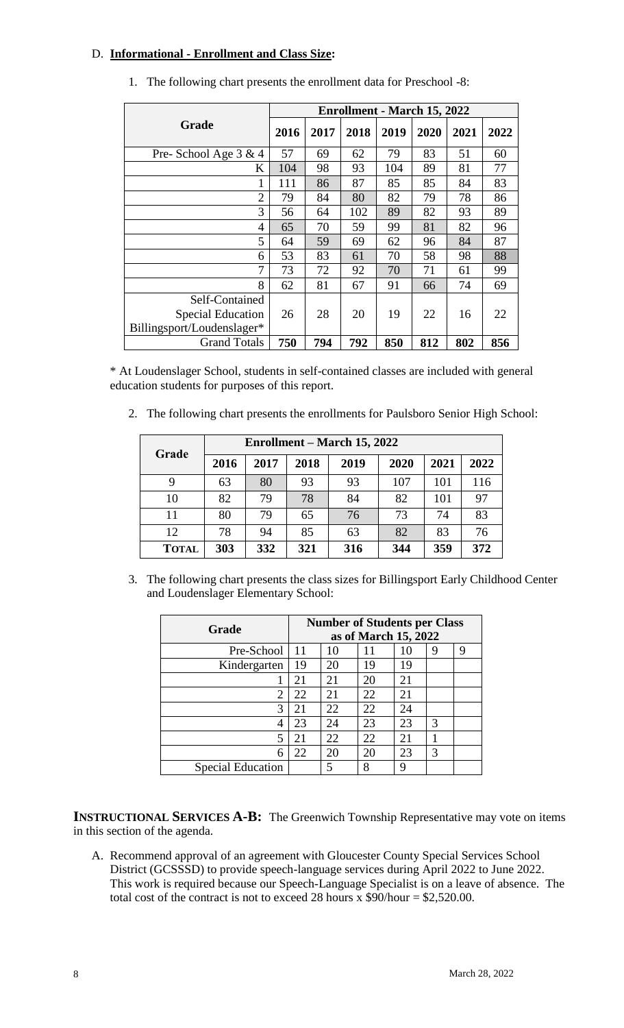#### D. **Informational - Enrollment and Class Size:**

|                            | Enrollment - March 15, 2022 |      |      |      |      |      |      |
|----------------------------|-----------------------------|------|------|------|------|------|------|
| Grade                      | 2016                        | 2017 | 2018 | 2019 | 2020 | 2021 | 2022 |
| Pre-School Age 3 & 4       | 57                          | 69   | 62   | 79   | 83   | 51   | 60   |
| K                          | 104                         | 98   | 93   | 104  | 89   | 81   | 77   |
|                            | 111                         | 86   | 87   | 85   | 85   | 84   | 83   |
| $\overline{2}$             | 79                          | 84   | 80   | 82   | 79   | 78   | 86   |
| 3                          | 56                          | 64   | 102  | 89   | 82   | 93   | 89   |
| $\overline{4}$             | 65                          | 70   | 59   | 99   | 81   | 82   | 96   |
| 5                          | 64                          | 59   | 69   | 62   | 96   | 84   | 87   |
| 6                          | 53                          | 83   | 61   | 70   | 58   | 98   | 88   |
| 7                          | 73                          | 72   | 92   | 70   | 71   | 61   | 99   |
| 8                          | 62                          | 81   | 67   | 91   | 66   | 74   | 69   |
| Self-Contained             |                             |      |      |      |      |      |      |
| <b>Special Education</b>   | 26                          | 28   | 20   | 19   | 22   | 16   | 22   |
| Billingsport/Loudenslager* |                             |      |      |      |      |      |      |
| <b>Grand Totals</b>        | 750                         | 794  | 792  | 850  | 812  | 802  | 856  |

1. The following chart presents the enrollment data for Preschool -8:

\* At Loudenslager School, students in self-contained classes are included with general education students for purposes of this report.

2. The following chart presents the enrollments for Paulsboro Senior High School:

| Grade        | Enrollment – March 15, 2022 |      |      |      |      |      |      |  |
|--------------|-----------------------------|------|------|------|------|------|------|--|
|              | 2016                        | 2017 | 2018 | 2019 | 2020 | 2021 | 2022 |  |
| 9            | 63                          | 80   | 93   | 93   | 107  | 101  | 116  |  |
| 10           | 82                          | 79   | 78   | 84   | 82   | 101  | 97   |  |
| 11           | 80                          | 79   | 65   | 76   | 73   | 74   | 83   |  |
| 12           | 78                          | 94   | 85   | 63   | 82   | 83   | 76   |  |
| <b>TOTAL</b> | 303                         | 332  | 321  | 316  | 344  | 359  | 372  |  |

3. The following chart presents the class sizes for Billingsport Early Childhood Center and Loudenslager Elementary School:

| Grade                    |    |    | <b>Number of Students per Class</b><br>as of March 15, 2022 |    |               |   |
|--------------------------|----|----|-------------------------------------------------------------|----|---------------|---|
| Pre-School               | 11 | 10 | 11                                                          | 10 | 9             | 9 |
| Kindergarten             | 19 | 20 | 19                                                          | 19 |               |   |
|                          | 21 | 21 | 20                                                          | 21 |               |   |
| 2                        | 22 | 21 | 22                                                          | 21 |               |   |
| 3                        | 21 | 22 | 22                                                          | 24 |               |   |
| 4                        | 23 | 24 | 23                                                          | 23 | 3             |   |
| 5                        | 21 | 22 | 22                                                          | 21 |               |   |
| 6                        | 22 | 20 | 20                                                          | 23 | $\mathcal{R}$ |   |
| <b>Special Education</b> |    | 5  | 8                                                           | q  |               |   |

**INSTRUCTIONAL SERVICES A-B:** The Greenwich Township Representative may vote on items in this section of the agenda.

A. Recommend approval of an agreement with Gloucester County Special Services School District (GCSSSD) to provide speech-language services during April 2022 to June 2022. This work is required because our Speech-Language Specialist is on a leave of absence. The total cost of the contract is not to exceed 28 hours x  $$90/hour = $2,520.00$ .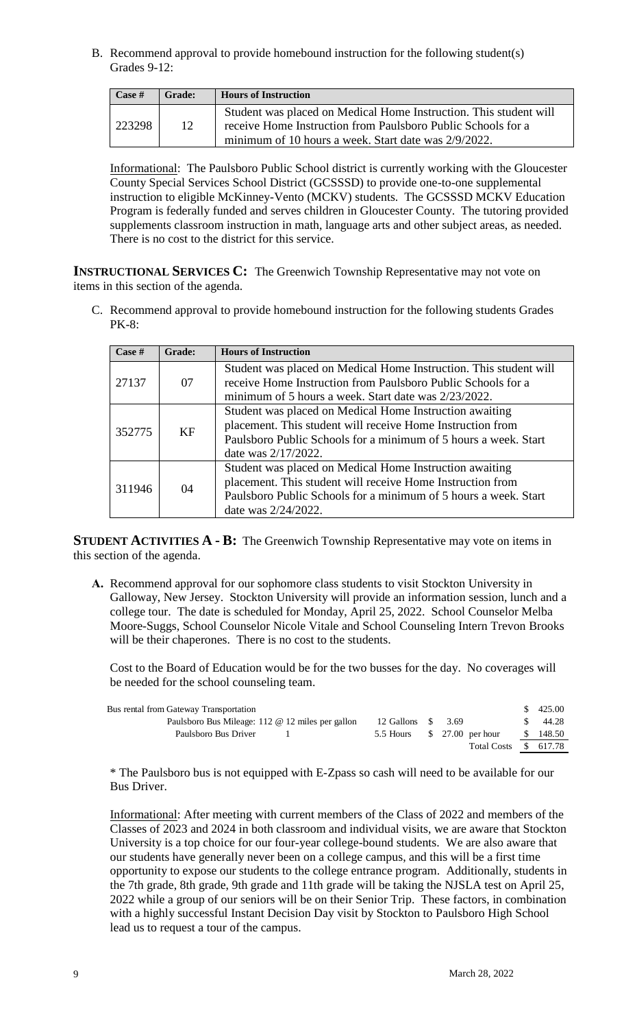B. Recommend approval to provide homebound instruction for the following student(s) Grades 9-12:

| Case # | <b>Grade:</b>   | <b>Hours of Instruction</b>                                       |
|--------|-----------------|-------------------------------------------------------------------|
|        |                 | Student was placed on Medical Home Instruction. This student will |
| 223298 | 12 <sup>°</sup> | receive Home Instruction from Paulsboro Public Schools for a      |
|        |                 | minimum of 10 hours a week. Start date was 2/9/2022.              |

Informational: The Paulsboro Public School district is currently working with the Gloucester County Special Services School District (GCSSSD) to provide one-to-one supplemental instruction to eligible McKinney-Vento (MCKV) students. The GCSSSD MCKV Education Program is federally funded and serves children in Gloucester County. The tutoring provided supplements classroom instruction in math, language arts and other subject areas, as needed. There is no cost to the district for this service.

**INSTRUCTIONAL SERVICES C:** The Greenwich Township Representative may not vote on items in this section of the agenda.

C. Recommend approval to provide homebound instruction for the following students Grades PK-8:

| $\bf Case \ \#$ | Grade:    | <b>Hours of Instruction</b>                                                                                                                                                                                     |
|-----------------|-----------|-----------------------------------------------------------------------------------------------------------------------------------------------------------------------------------------------------------------|
| 27137           | 07        | Student was placed on Medical Home Instruction. This student will<br>receive Home Instruction from Paulsboro Public Schools for a<br>minimum of 5 hours a week. Start date was 2/23/2022.                       |
| 352775          | <b>KF</b> | Student was placed on Medical Home Instruction awaiting<br>placement. This student will receive Home Instruction from<br>Paulsboro Public Schools for a minimum of 5 hours a week. Start<br>date was 2/17/2022. |
| 311946          | 04        | Student was placed on Medical Home Instruction awaiting<br>placement. This student will receive Home Instruction from<br>Paulsboro Public Schools for a minimum of 5 hours a week. Start<br>date was 2/24/2022. |

**STUDENT ACTIVITIES A - B:** The Greenwich Township Representative may vote on items in this section of the agenda.

**A.** Recommend approval for our sophomore class students to visit Stockton University in Galloway, New Jersey. Stockton University will provide an information session, lunch and a college tour. The date is scheduled for Monday, April 25, 2022. School Counselor Melba Moore-Suggs, School Counselor Nicole Vitale and School Counseling Intern Trevon Brooks will be their chaperones. There is no cost to the students.

Cost to the Board of Education would be for the two busses for the day. No coverages will be needed for the school counseling team.

| Bus rental from Gateway Transportation           |               |                             |    | $\frac{\$}{25.00}$ |
|--------------------------------------------------|---------------|-----------------------------|----|--------------------|
| Paulsboro Bus Mileage: 112 @ 12 miles per gallon | 12 Gallons \$ | 3.69                        | S. | 44.28              |
| Paulsboro Bus Driver                             |               | 5.5 Hours \$ 27.00 per hour |    | \$148.50           |
|                                                  |               | Total Costs \$ 617.78       |    |                    |

\* The Paulsboro bus is not equipped with E-Zpass so cash will need to be available for our Bus Driver.

Informational: After meeting with current members of the Class of 2022 and members of the Classes of 2023 and 2024 in both classroom and individual visits, we are aware that Stockton University is a top choice for our four-year college-bound students. We are also aware that our students have generally never been on a college campus, and this will be a first time opportunity to expose our students to the college entrance program. Additionally, students in the 7th grade, 8th grade, 9th grade and 11th grade will be taking the NJSLA test on April 25, 2022 while a group of our seniors will be on their Senior Trip. These factors, in combination with a highly successful Instant Decision Day visit by Stockton to Paulsboro High School lead us to request a tour of the campus.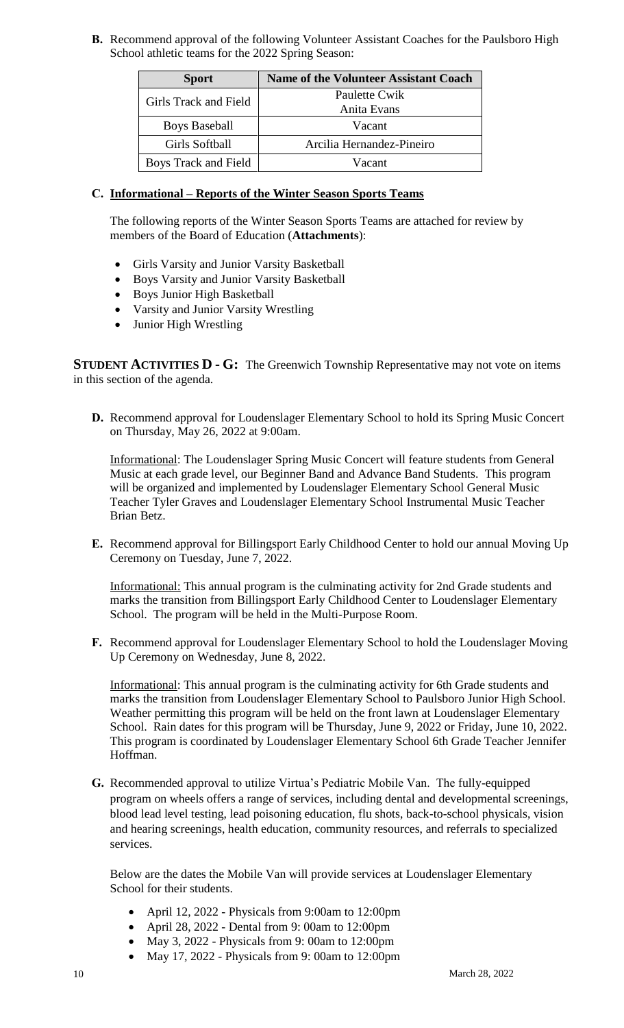**B.** Recommend approval of the following Volunteer Assistant Coaches for the Paulsboro High School athletic teams for the 2022 Spring Season:

| <b>Sport</b>          | <b>Name of the Volunteer Assistant Coach</b> |
|-----------------------|----------------------------------------------|
| Girls Track and Field | Paulette Cwik                                |
|                       | Anita Evans                                  |
| <b>Boys Baseball</b>  | Vacant                                       |
| Girls Softball        | Arcilia Hernandez-Pineiro                    |
| Boys Track and Field  | Vacant                                       |

#### **C. Informational – Reports of the Winter Season Sports Teams**

The following reports of the Winter Season Sports Teams are attached for review by members of the Board of Education (**Attachments**):

- Girls Varsity and Junior Varsity Basketball
- Boys Varsity and Junior Varsity Basketball
- Boys Junior High Basketball
- Varsity and Junior Varsity Wrestling
- Junior High Wrestling

**STUDENT ACTIVITIES D - G:** The Greenwich Township Representative may not vote on items in this section of the agenda.

**D.** Recommend approval for Loudenslager Elementary School to hold its Spring Music Concert on Thursday, May 26, 2022 at 9:00am.

Informational: The Loudenslager Spring Music Concert will feature students from General Music at each grade level, our Beginner Band and Advance Band Students. This program will be organized and implemented by Loudenslager Elementary School General Music Teacher Tyler Graves and Loudenslager Elementary School Instrumental Music Teacher Brian Betz.

**E.** Recommend approval for Billingsport Early Childhood Center to hold our annual Moving Up Ceremony on Tuesday, June 7, 2022.

Informational: This annual program is the culminating activity for 2nd Grade students and marks the transition from Billingsport Early Childhood Center to Loudenslager Elementary School. The program will be held in the Multi-Purpose Room.

**F.** Recommend approval for Loudenslager Elementary School to hold the Loudenslager Moving Up Ceremony on Wednesday, June 8, 2022.

Informational: This annual program is the culminating activity for 6th Grade students and marks the transition from Loudenslager Elementary School to Paulsboro Junior High School. Weather permitting this program will be held on the front lawn at Loudenslager Elementary School. Rain dates for this program will be Thursday, June 9, 2022 or Friday, June 10, 2022. This program is coordinated by Loudenslager Elementary School 6th Grade Teacher Jennifer Hoffman.

**G.** Recommended approval to utilize Virtua's Pediatric Mobile Van. The fully-equipped program on wheels offers a range of services, including dental and developmental screenings, blood lead level testing, lead poisoning education, flu shots, back-to-school physicals, vision and hearing screenings, health education, community resources, and referrals to specialized services.

Below are the dates the Mobile Van will provide services at Loudenslager Elementary School for their students.

- April 12, 2022 Physicals from 9:00am to 12:00pm
- April 28, 2022 Dental from 9: 00am to 12:00pm
- May 3, 2022 Physicals from 9:00am to 12:00pm
- May 17, 2022 Physicals from 9:00am to 12:00pm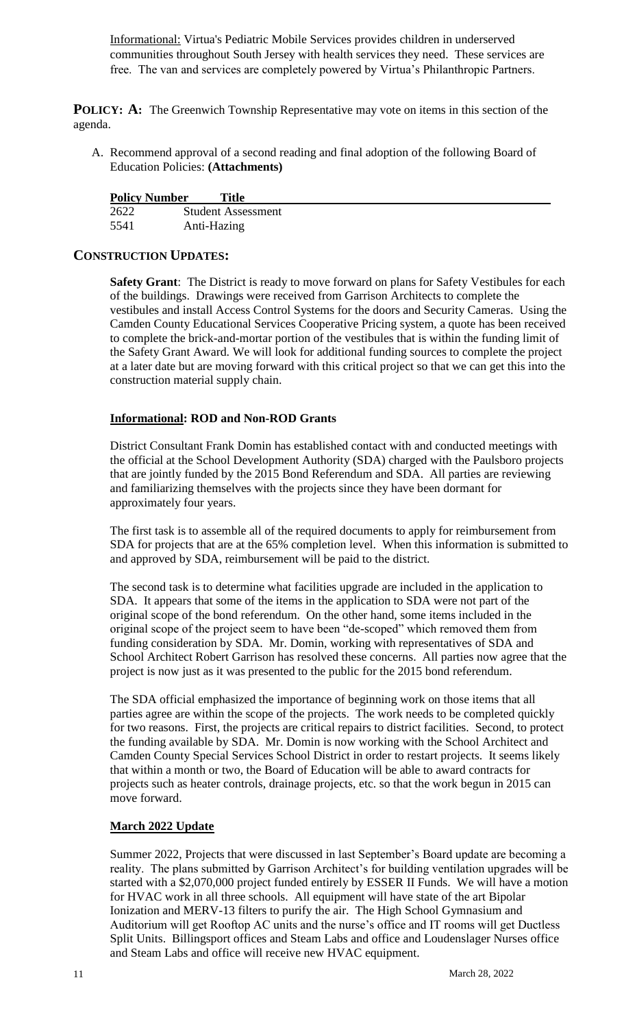Informational: Virtua's Pediatric Mobile Services provides children in underserved communities throughout South Jersey with health services they need. These services are free. The van and services are completely powered by Virtua's Philanthropic Partners.

**POLICY:** A: The Greenwich Township Representative may vote on items in this section of the agenda.

A. Recommend approval of a second reading and final adoption of the following Board of Education Policies: **(Attachments)**

| <b>Policy Number</b> | <b>Title</b>              |
|----------------------|---------------------------|
| 2622                 | <b>Student Assessment</b> |
| 5541                 | Anti-Hazing               |

### **CONSTRUCTION UPDATES:**

**Safety Grant**: The District is ready to move forward on plans for Safety Vestibules for each of the buildings. Drawings were received from Garrison Architects to complete the vestibules and install Access Control Systems for the doors and Security Cameras. Using the Camden County Educational Services Cooperative Pricing system, a quote has been received to complete the brick-and-mortar portion of the vestibules that is within the funding limit of the Safety Grant Award. We will look for additional funding sources to complete the project at a later date but are moving forward with this critical project so that we can get this into the construction material supply chain.

#### **Informational: ROD and Non-ROD Grants**

District Consultant Frank Domin has established contact with and conducted meetings with the official at the School Development Authority (SDA) charged with the Paulsboro projects that are jointly funded by the 2015 Bond Referendum and SDA. All parties are reviewing and familiarizing themselves with the projects since they have been dormant for approximately four years.

The first task is to assemble all of the required documents to apply for reimbursement from SDA for projects that are at the 65% completion level. When this information is submitted to and approved by SDA, reimbursement will be paid to the district.

The second task is to determine what facilities upgrade are included in the application to SDA. It appears that some of the items in the application to SDA were not part of the original scope of the bond referendum. On the other hand, some items included in the original scope of the project seem to have been "de-scoped" which removed them from funding consideration by SDA. Mr. Domin, working with representatives of SDA and School Architect Robert Garrison has resolved these concerns. All parties now agree that the project is now just as it was presented to the public for the 2015 bond referendum.

The SDA official emphasized the importance of beginning work on those items that all parties agree are within the scope of the projects. The work needs to be completed quickly for two reasons. First, the projects are critical repairs to district facilities. Second, to protect the funding available by SDA. Mr. Domin is now working with the School Architect and Camden County Special Services School District in order to restart projects. It seems likely that within a month or two, the Board of Education will be able to award contracts for projects such as heater controls, drainage projects, etc. so that the work begun in 2015 can move forward.

#### **March 2022 Update**

Summer 2022, Projects that were discussed in last September's Board update are becoming a reality. The plans submitted by Garrison Architect's for building ventilation upgrades will be started with a \$2,070,000 project funded entirely by ESSER II Funds. We will have a motion for HVAC work in all three schools. All equipment will have state of the art Bipolar Ionization and MERV-13 filters to purify the air. The High School Gymnasium and Auditorium will get Rooftop AC units and the nurse's office and IT rooms will get Ductless Split Units. Billingsport offices and Steam Labs and office and Loudenslager Nurses office and Steam Labs and office will receive new HVAC equipment.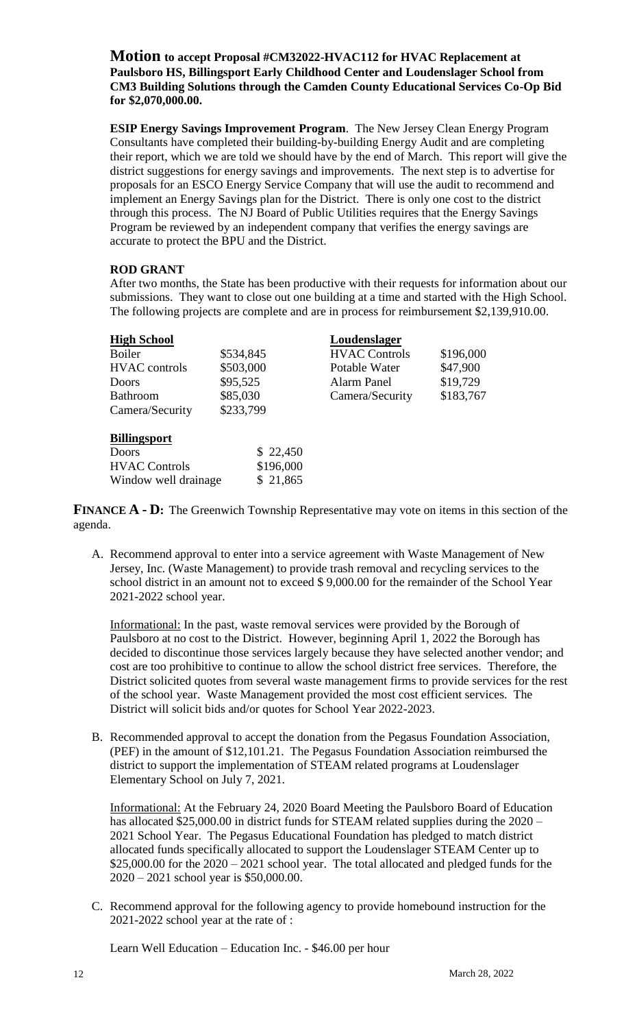#### **Motion to accept Proposal #CM32022-HVAC112 for HVAC Replacement at Paulsboro HS, Billingsport Early Childhood Center and Loudenslager School from CM3 Building Solutions through the Camden County Educational Services Co-Op Bid for \$2,070,000.00.**

**ESIP Energy Savings Improvement Program**. The New Jersey Clean Energy Program Consultants have completed their building-by-building Energy Audit and are completing their report, which we are told we should have by the end of March. This report will give the district suggestions for energy savings and improvements. The next step is to advertise for proposals for an ESCO Energy Service Company that will use the audit to recommend and implement an Energy Savings plan for the District. There is only one cost to the district through this process. The NJ Board of Public Utilities requires that the Energy Savings Program be reviewed by an independent company that verifies the energy savings are accurate to protect the BPU and the District.

### **ROD GRANT**

After two months, the State has been productive with their requests for information about our submissions. They want to close out one building at a time and started with the High School. The following projects are complete and are in process for reimbursement \$2,139,910.00.

| <b>High School</b>   |           | Loudenslager         |           |
|----------------------|-----------|----------------------|-----------|
| <b>Boiler</b>        | \$534,845 | <b>HVAC Controls</b> | \$196,000 |
| <b>HVAC</b> controls | \$503,000 | Potable Water        | \$47,900  |
| Doors                | \$95,525  | Alarm Panel          | \$19,729  |
| <b>Bathroom</b>      | \$85,030  | Camera/Security      | \$183,767 |
| Camera/Security      | \$233,799 |                      |           |
| <b>Billingsport</b>  |           |                      |           |
| Doors                | \$22,450  |                      |           |
| <b>HVAC Controls</b> | \$196,000 |                      |           |
| Window well drainage | \$21,865  |                      |           |

**FINANCE A - D:** The Greenwich Township Representative may vote on items in this section of the agenda.

A. Recommend approval to enter into a service agreement with Waste Management of New Jersey, Inc. (Waste Management) to provide trash removal and recycling services to the school district in an amount not to exceed \$ 9,000.00 for the remainder of the School Year 2021-2022 school year.

Informational: In the past, waste removal services were provided by the Borough of Paulsboro at no cost to the District. However, beginning April 1, 2022 the Borough has decided to discontinue those services largely because they have selected another vendor; and cost are too prohibitive to continue to allow the school district free services. Therefore, the District solicited quotes from several waste management firms to provide services for the rest of the school year. Waste Management provided the most cost efficient services. The District will solicit bids and/or quotes for School Year 2022-2023.

B. Recommended approval to accept the donation from the Pegasus Foundation Association, (PEF) in the amount of \$12,101.21. The Pegasus Foundation Association reimbursed the district to support the implementation of STEAM related programs at Loudenslager Elementary School on July 7, 2021.

Informational: At the February 24, 2020 Board Meeting the Paulsboro Board of Education has allocated \$25,000.00 in district funds for STEAM related supplies during the 2020 – 2021 School Year. The Pegasus Educational Foundation has pledged to match district allocated funds specifically allocated to support the Loudenslager STEAM Center up to \$25,000.00 for the 2020 – 2021 school year. The total allocated and pledged funds for the 2020 – 2021 school year is \$50,000.00.

C. Recommend approval for the following agency to provide homebound instruction for the 2021-2022 school year at the rate of :

Learn Well Education – Education Inc. - \$46.00 per hour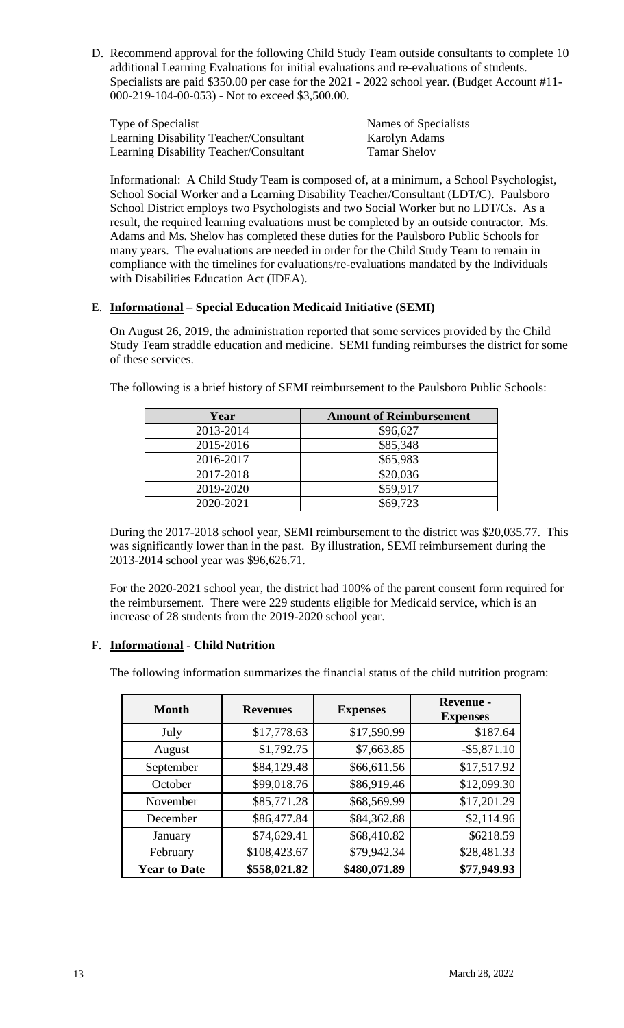D. Recommend approval for the following Child Study Team outside consultants to complete 10 additional Learning Evaluations for initial evaluations and re-evaluations of students. Specialists are paid \$350.00 per case for the 2021 - 2022 school year. (Budget Account #11- 000-219-104-00-053) - Not to exceed \$3,500.00.

| Type of Specialist                     | Names of Specialists |
|----------------------------------------|----------------------|
| Learning Disability Teacher/Consultant | Karolyn Adams        |
| Learning Disability Teacher/Consultant | <b>Tamar Shelov</b>  |

Informational: A Child Study Team is composed of, at a minimum, a School Psychologist, School Social Worker and a Learning Disability Teacher/Consultant (LDT/C). Paulsboro School District employs two Psychologists and two Social Worker but no LDT/Cs. As a result, the required learning evaluations must be completed by an outside contractor. Ms. Adams and Ms. Shelov has completed these duties for the Paulsboro Public Schools for many years. The evaluations are needed in order for the Child Study Team to remain in compliance with the timelines for evaluations/re-evaluations mandated by the Individuals with Disabilities Education Act (IDEA).

## E. **Informational – Special Education Medicaid Initiative (SEMI)**

On August 26, 2019, the administration reported that some services provided by the Child Study Team straddle education and medicine. SEMI funding reimburses the district for some of these services.

The following is a brief history of SEMI reimbursement to the Paulsboro Public Schools:

| Year      | <b>Amount of Reimbursement</b> |
|-----------|--------------------------------|
| 2013-2014 | \$96,627                       |
| 2015-2016 | \$85,348                       |
| 2016-2017 | \$65,983                       |
| 2017-2018 | \$20,036                       |
| 2019-2020 | \$59,917                       |
| 2020-2021 | \$69,723                       |

During the 2017-2018 school year, SEMI reimbursement to the district was \$20,035.77. This was significantly lower than in the past. By illustration, SEMI reimbursement during the 2013-2014 school year was \$96,626.71.

For the 2020-2021 school year, the district had 100% of the parent consent form required for the reimbursement. There were 229 students eligible for Medicaid service, which is an increase of 28 students from the 2019-2020 school year.

### F. **Informational - Child Nutrition**

The following information summarizes the financial status of the child nutrition program:

| <b>Month</b>        | <b>Revenues</b> | <b>Expenses</b> | <b>Revenue -</b><br><b>Expenses</b> |
|---------------------|-----------------|-----------------|-------------------------------------|
| July                | \$17,778.63     | \$17,590.99     | \$187.64                            |
| August              | \$1,792.75      | \$7,663.85      | $-$ \$5,871.10                      |
| September           | \$84,129.48     | \$66,611.56     | \$17,517.92                         |
| October             | \$99,018.76     | \$86,919.46     | \$12,099.30                         |
| November            | \$85,771.28     | \$68,569.99     | \$17,201.29                         |
| December            | \$86,477.84     | \$84,362.88     | \$2,114.96                          |
| January             | \$74,629.41     | \$68,410.82     | \$6218.59                           |
| February            | \$108,423.67    | \$79,942.34     | \$28,481.33                         |
| <b>Year to Date</b> | \$558,021.82    | \$480,071.89    | \$77,949.93                         |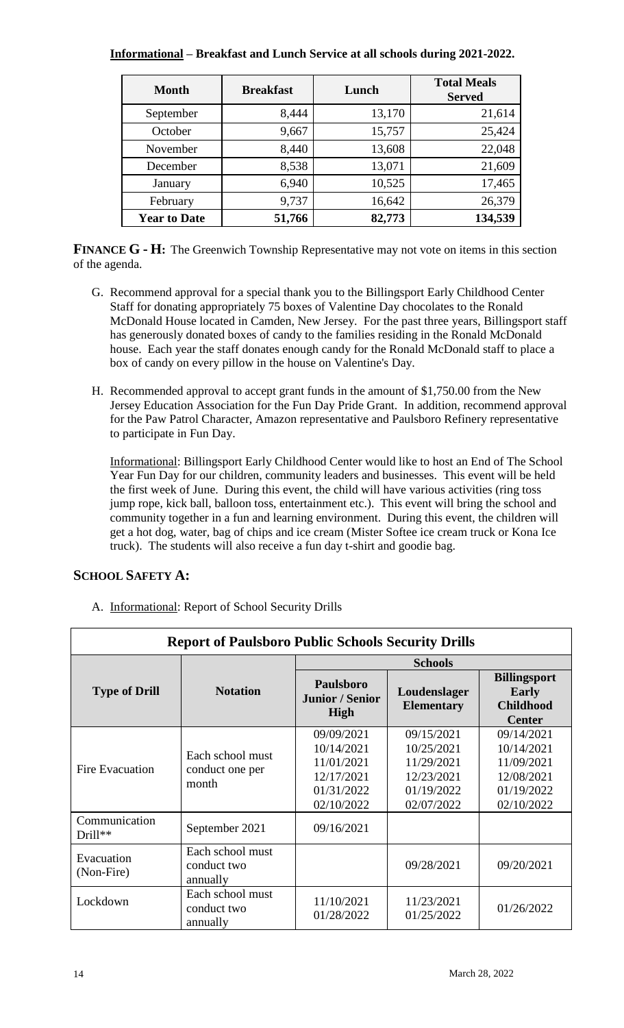# **Informational – Breakfast and Lunch Service at all schools during 2021-2022.**

| <b>Month</b>        | <b>Breakfast</b> | Lunch  | <b>Total Meals</b><br><b>Served</b> |
|---------------------|------------------|--------|-------------------------------------|
| September           | 8,444            | 13,170 | 21,614                              |
| October             | 9,667            | 15,757 | 25,424                              |
| November            | 8,440            | 13,608 | 22,048                              |
| December            | 8,538            | 13,071 | 21,609                              |
| January             | 6,940            | 10,525 | 17,465                              |
| February            | 9,737            | 16,642 | 26,379                              |
| <b>Year to Date</b> | 51,766           | 82,773 | 134,539                             |

**FINANCE G - H:** The Greenwich Township Representative may not vote on items in this section of the agenda.

- G. Recommend approval for a special thank you to the Billingsport Early Childhood Center Staff for donating appropriately 75 boxes of Valentine Day chocolates to the Ronald McDonald House located in Camden, New Jersey. For the past three years, Billingsport staff has generously donated boxes of candy to the families residing in the Ronald McDonald house. Each year the staff donates enough candy for the Ronald McDonald staff to place a box of candy on every pillow in the house on Valentine's Day.
- H. Recommended approval to accept grant funds in the amount of \$1,750.00 from the New Jersey Education Association for the Fun Day Pride Grant. In addition, recommend approval for the Paw Patrol Character, Amazon representative and Paulsboro Refinery representative to participate in Fun Day.

Informational: Billingsport Early Childhood Center would like to host an End of The School Year Fun Day for our children, community leaders and businesses. This event will be held the first week of June. During this event, the child will have various activities (ring toss jump rope, kick ball, balloon toss, entertainment etc.). This event will bring the school and community together in a fun and learning environment. During this event, the children will get a hot dog, water, bag of chips and ice cream (Mister Softee ice cream truck or Kona Ice truck). The students will also receive a fun day t-shirt and goodie bag.

# **SCHOOL SAFETY A:**

A. Informational: Report of School Security Drills

| <b>Report of Paulsboro Public Schools Security Drills</b> |                                              |                                                                                  |                                                                                  |                                                                                  |  |
|-----------------------------------------------------------|----------------------------------------------|----------------------------------------------------------------------------------|----------------------------------------------------------------------------------|----------------------------------------------------------------------------------|--|
|                                                           | <b>Notation</b>                              | <b>Schools</b>                                                                   |                                                                                  |                                                                                  |  |
| <b>Type of Drill</b>                                      |                                              | Paulsboro<br><b>Junior / Senior</b><br><b>High</b>                               | Loudenslager<br><b>Elementary</b>                                                | <b>Billingsport</b><br><b>Early</b><br><b>Childhood</b><br><b>Center</b>         |  |
| Fire Evacuation                                           | Each school must<br>conduct one per<br>month | 09/09/2021<br>10/14/2021<br>11/01/2021<br>12/17/2021<br>01/31/2022<br>02/10/2022 | 09/15/2021<br>10/25/2021<br>11/29/2021<br>12/23/2021<br>01/19/2022<br>02/07/2022 | 09/14/2021<br>10/14/2021<br>11/09/2021<br>12/08/2021<br>01/19/2022<br>02/10/2022 |  |
| Communication<br>$Drill**$                                | September 2021                               | 09/16/2021                                                                       |                                                                                  |                                                                                  |  |
| Evacuation<br>(Non-Fire)                                  | Each school must<br>conduct two<br>annually  |                                                                                  | 09/28/2021                                                                       | 09/20/2021                                                                       |  |
| Lockdown                                                  | Each school must<br>conduct two<br>annually  | 11/10/2021<br>01/28/2022                                                         | 11/23/2021<br>01/25/2022                                                         | 01/26/2022                                                                       |  |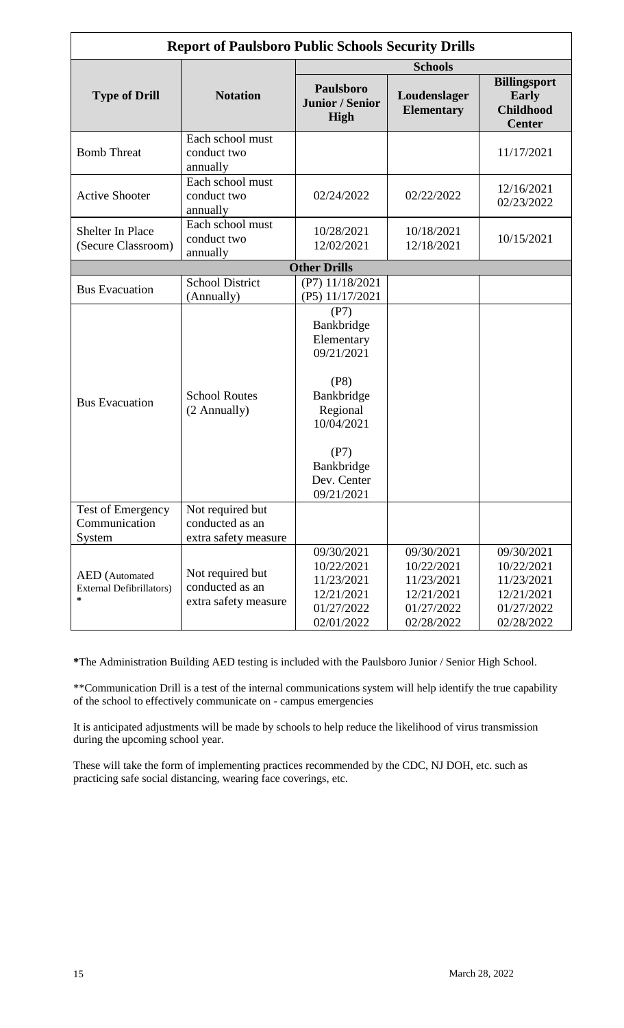| <b>Report of Paulsboro Public Schools Security Drills</b>          |                                                             |                                                                                                                                                   |                                                                                  |                                                                                  |  |
|--------------------------------------------------------------------|-------------------------------------------------------------|---------------------------------------------------------------------------------------------------------------------------------------------------|----------------------------------------------------------------------------------|----------------------------------------------------------------------------------|--|
|                                                                    |                                                             | <b>Schools</b>                                                                                                                                    |                                                                                  |                                                                                  |  |
| <b>Type of Drill</b>                                               | <b>Notation</b>                                             | Paulsboro<br><b>Junior / Senior</b><br><b>High</b>                                                                                                | Loudenslager<br><b>Elementary</b>                                                | <b>Billingsport</b><br><b>Early</b><br><b>Childhood</b><br><b>Center</b>         |  |
| <b>Bomb Threat</b>                                                 | Each school must<br>conduct two<br>annually                 |                                                                                                                                                   |                                                                                  | 11/17/2021                                                                       |  |
| <b>Active Shooter</b>                                              | Each school must<br>conduct two<br>annually                 | 02/24/2022                                                                                                                                        | 02/22/2022                                                                       | 12/16/2021<br>02/23/2022                                                         |  |
| Shelter In Place<br>(Secure Classroom)                             | Each school must<br>conduct two<br>annually                 | 10/28/2021<br>12/02/2021                                                                                                                          | 10/18/2021<br>12/18/2021                                                         | 10/15/2021                                                                       |  |
|                                                                    |                                                             | <b>Other Drills</b>                                                                                                                               |                                                                                  |                                                                                  |  |
| <b>Bus Evacuation</b>                                              | <b>School District</b><br>(Annually)                        | (P7) 11/18/2021<br>(P5) 11/17/2021                                                                                                                |                                                                                  |                                                                                  |  |
| <b>Bus Evacuation</b>                                              | <b>School Routes</b><br>(2 Annually)                        | (P7)<br>Bankbridge<br>Elementary<br>09/21/2021<br>(P8)<br>Bankbridge<br>Regional<br>10/04/2021<br>(P7)<br>Bankbridge<br>Dev. Center<br>09/21/2021 |                                                                                  |                                                                                  |  |
| Test of Emergency<br>Communication<br>System                       | Not required but<br>conducted as an<br>extra safety measure |                                                                                                                                                   |                                                                                  |                                                                                  |  |
| <b>AED</b> (Automated<br><b>External Defibrillators)</b><br>$\ast$ | Not required but<br>conducted as an<br>extra safety measure | 09/30/2021<br>10/22/2021<br>11/23/2021<br>12/21/2021<br>01/27/2022<br>02/01/2022                                                                  | 09/30/2021<br>10/22/2021<br>11/23/2021<br>12/21/2021<br>01/27/2022<br>02/28/2022 | 09/30/2021<br>10/22/2021<br>11/23/2021<br>12/21/2021<br>01/27/2022<br>02/28/2022 |  |

**\***The Administration Building AED testing is included with the Paulsboro Junior / Senior High School.

\*\*Communication Drill is a test of the internal communications system will help identify the true capability of the school to effectively communicate on - campus emergencies

It is anticipated adjustments will be made by schools to help reduce the likelihood of virus transmission during the upcoming school year.

These will take the form of implementing practices recommended by the CDC, NJ DOH, etc. such as practicing safe social distancing, wearing face coverings, etc.